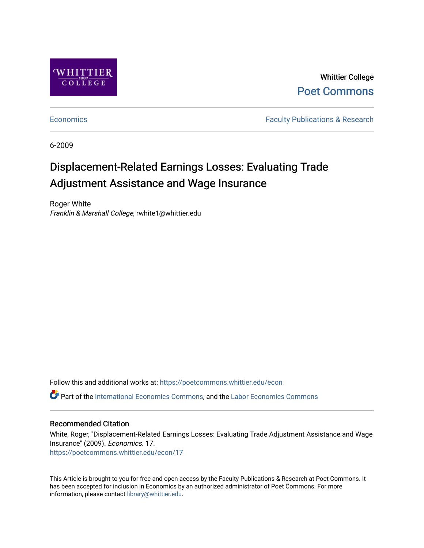

Whittier College [Poet Commons](https://poetcommons.whittier.edu/) 

[Economics](https://poetcommons.whittier.edu/econ) **Faculty Publications & Research** 

6-2009

# Displacement-Related Earnings Losses: Evaluating Trade Adjustment Assistance and Wage Insurance

Roger White Franklin & Marshall College, rwhite1@whittier.edu

Follow this and additional works at: [https://poetcommons.whittier.edu/econ](https://poetcommons.whittier.edu/econ?utm_source=poetcommons.whittier.edu%2Fecon%2F17&utm_medium=PDF&utm_campaign=PDFCoverPages) Part of the [International Economics Commons,](http://network.bepress.com/hgg/discipline/348?utm_source=poetcommons.whittier.edu%2Fecon%2F17&utm_medium=PDF&utm_campaign=PDFCoverPages) and the [Labor Economics Commons](http://network.bepress.com/hgg/discipline/349?utm_source=poetcommons.whittier.edu%2Fecon%2F17&utm_medium=PDF&utm_campaign=PDFCoverPages) 

## Recommended Citation

White, Roger, "Displacement-Related Earnings Losses: Evaluating Trade Adjustment Assistance and Wage Insurance" (2009). Economics. 17. [https://poetcommons.whittier.edu/econ/17](https://poetcommons.whittier.edu/econ/17?utm_source=poetcommons.whittier.edu%2Fecon%2F17&utm_medium=PDF&utm_campaign=PDFCoverPages) 

This Article is brought to you for free and open access by the Faculty Publications & Research at Poet Commons. It has been accepted for inclusion in Economics by an authorized administrator of Poet Commons. For more information, please contact [library@whittier.edu.](mailto:library@whittier.edu)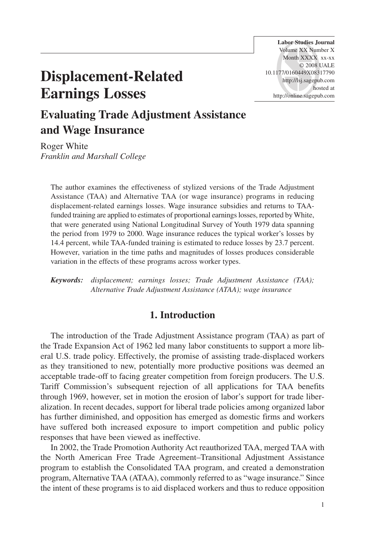# **Displacement-Related Earnings Losses**

**Labor Studies Journal** Volume XX Number X Month XXXX xx-xx © 2008 UALE 10.1177/0160449X08317790 http://lsj.sagepub.com hosted at http://online.sagepub.com

# **Evaluating Trade Adjustment Assistance and Wage Insurance**

Roger White *Franklin and Marshall College*

The author examines the effectiveness of stylized versions of the Trade Adjustment Assistance (TAA) and Alternative TAA (or wage insurance) programs in reducing displacement-related earnings losses. Wage insurance subsidies and returns to TAAfunded training are applied to estimates of proportional earnings losses, reported by White, that were generated using National Longitudinal Survey of Youth 1979 data spanning the period from 1979 to 2000. Wage insurance reduces the typical worker's losses by 14.4 percent, while TAA-funded training is estimated to reduce losses by 23.7 percent. However, variation in the time paths and magnitudes of losses produces considerable variation in the effects of these programs across worker types.

*Keywords: displacement; earnings losses; Trade Adjustment Assistance (TAA); Alternative Trade Adjustment Assistance (ATAA); wage insurance*

### **1. Introduction**

The introduction of the Trade Adjustment Assistance program (TAA) as part of the Trade Expansion Act of 1962 led many labor constituents to support a more liberal U.S. trade policy. Effectively, the promise of assisting trade-displaced workers as they transitioned to new, potentially more productive positions was deemed an acceptable trade-off to facing greater competition from foreign producers. The U.S. Tariff Commission's subsequent rejection of all applications for TAA benefits through 1969, however, set in motion the erosion of labor's support for trade liberalization. In recent decades, support for liberal trade policies among organized labor has further diminished, and opposition has emerged as domestic firms and workers have suffered both increased exposure to import competition and public policy responses that have been viewed as ineffective.

In 2002, the Trade Promotion Authority Act reauthorized TAA, merged TAA with the North American Free Trade Agreement–Transitional Adjustment Assistance program to establish the Consolidated TAA program, and created a demonstration program, Alternative TAA (ATAA), commonly referred to as "wage insurance." Since the intent of these programs is to aid displaced workers and thus to reduce opposition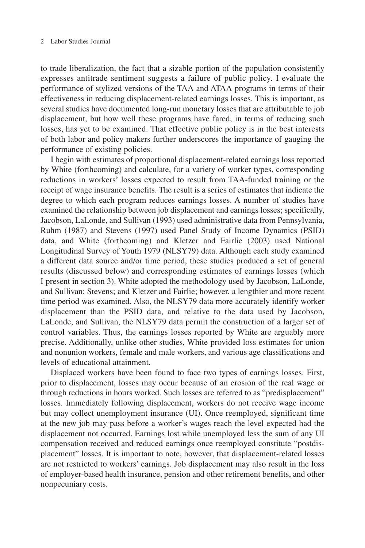to trade liberalization, the fact that a sizable portion of the population consistently expresses antitrade sentiment suggests a failure of public policy. I evaluate the performance of stylized versions of the TAA and ATAA programs in terms of their effectiveness in reducing displacement-related earnings losses. This is important, as several studies have documented long-run monetary losses that are attributable to job displacement, but how well these programs have fared, in terms of reducing such losses, has yet to be examined. That effective public policy is in the best interests of both labor and policy makers further underscores the importance of gauging the performance of existing policies.

I begin with estimates of proportional displacement-related earnings loss reported by White (forthcoming) and calculate, for a variety of worker types, corresponding reductions in workers' losses expected to result from TAA-funded training or the receipt of wage insurance benefits. The result is a series of estimates that indicate the degree to which each program reduces earnings losses. A number of studies have examined the relationship between job displacement and earnings losses; specifically, Jacobson, LaLonde, and Sullivan (1993) used administrative data from Pennsylvania, Ruhm (1987) and Stevens (1997) used Panel Study of Income Dynamics (PSID) data, and White (forthcoming) and Kletzer and Fairlie (2003) used National Longitudinal Survey of Youth 1979 (NLSY79) data. Although each study examined a different data source and/or time period, these studies produced a set of general results (discussed below) and corresponding estimates of earnings losses (which I present in section 3). White adopted the methodology used by Jacobson, LaLonde, and Sullivan; Stevens; and Kletzer and Fairlie; however, a lengthier and more recent time period was examined. Also, the NLSY79 data more accurately identify worker displacement than the PSID data, and relative to the data used by Jacobson, LaLonde, and Sullivan, the NLSY79 data permit the construction of a larger set of control variables. Thus, the earnings losses reported by White are arguably more precise. Additionally, unlike other studies, White provided loss estimates for union and nonunion workers, female and male workers, and various age classifications and levels of educational attainment.

Displaced workers have been found to face two types of earnings losses. First, prior to displacement, losses may occur because of an erosion of the real wage or through reductions in hours worked. Such losses are referred to as "predisplacement" losses. Immediately following displacement, workers do not receive wage income but may collect unemployment insurance (UI). Once reemployed, significant time at the new job may pass before a worker's wages reach the level expected had the displacement not occurred. Earnings lost while unemployed less the sum of any UI compensation received and reduced earnings once reemployed constitute "postdisplacement" losses. It is important to note, however, that displacement-related losses are not restricted to workers' earnings. Job displacement may also result in the loss of employer-based health insurance, pension and other retirement benefits, and other nonpecuniary costs.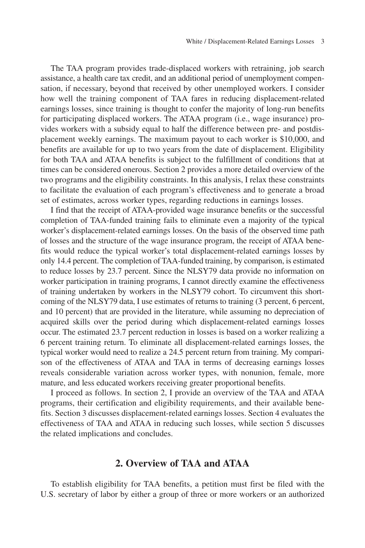The TAA program provides trade-displaced workers with retraining, job search assistance, a health care tax credit, and an additional period of unemployment compensation, if necessary, beyond that received by other unemployed workers. I consider how well the training component of TAA fares in reducing displacement-related earnings losses, since training is thought to confer the majority of long-run benefits for participating displaced workers. The ATAA program (i.e., wage insurance) provides workers with a subsidy equal to half the difference between pre- and postdisplacement weekly earnings. The maximum payout to each worker is \$10,000, and benefits are available for up to two years from the date of displacement. Eligibility for both TAA and ATAA benefits is subject to the fulfillment of conditions that at times can be considered onerous. Section 2 provides a more detailed overview of the two programs and the eligibility constraints. In this analysis, I relax these constraints to facilitate the evaluation of each program's effectiveness and to generate a broad set of estimates, across worker types, regarding reductions in earnings losses.

I find that the receipt of ATAA-provided wage insurance benefits or the successful completion of TAA-funded training fails to eliminate even a majority of the typical worker's displacement-related earnings losses. On the basis of the observed time path of losses and the structure of the wage insurance program, the receipt of ATAA benefits would reduce the typical worker's total displacement-related earnings losses by only 14.4 percent. The completion of TAA-funded training, by comparison, is estimated to reduce losses by 23.7 percent. Since the NLSY79 data provide no information on worker participation in training programs, I cannot directly examine the effectiveness of training undertaken by workers in the NLSY79 cohort. To circumvent this shortcoming of the NLSY79 data, I use estimates of returns to training (3 percent, 6 percent, and 10 percent) that are provided in the literature, while assuming no depreciation of acquired skills over the period during which displacement-related earnings losses occur. The estimated 23.7 percent reduction in losses is based on a worker realizing a 6 percent training return. To eliminate all displacement-related earnings losses, the typical worker would need to realize a 24.5 percent return from training. My comparison of the effectiveness of ATAA and TAA in terms of decreasing earnings losses reveals considerable variation across worker types, with nonunion, female, more mature, and less educated workers receiving greater proportional benefits.

I proceed as follows. In section 2, I provide an overview of the TAA and ATAA programs, their certification and eligibility requirements, and their available benefits. Section 3 discusses displacement-related earnings losses. Section 4 evaluates the effectiveness of TAA and ATAA in reducing such losses, while section 5 discusses the related implications and concludes.

### **2. Overview of TAA and ATAA**

To establish eligibility for TAA benefits, a petition must first be filed with the U.S. secretary of labor by either a group of three or more workers or an authorized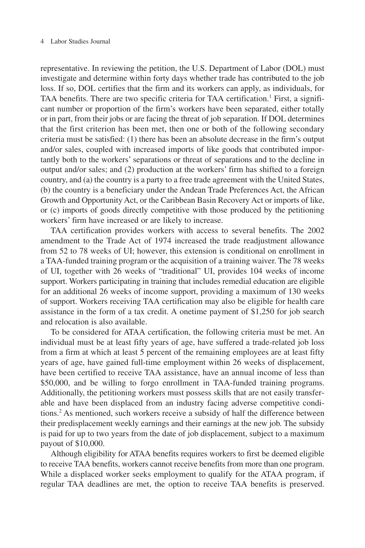### 4 Labor Studies Journal

representative. In reviewing the petition, the U.S. Department of Labor (DOL) must investigate and determine within forty days whether trade has contributed to the job loss. If so, DOL certifies that the firm and its workers can apply, as individuals, for TAA benefits. There are two specific criteria for TAA certification.<sup>1</sup> First, a significant number or proportion of the firm's workers have been separated, either totally or in part, from their jobs or are facing the threat of job separation. If DOL determines that the first criterion has been met, then one or both of the following secondary criteria must be satisfied: (1) there has been an absolute decrease in the firm's output and/or sales, coupled with increased imports of like goods that contributed importantly both to the workers' separations or threat of separations and to the decline in output and/or sales; and (2) production at the workers' firm has shifted to a foreign country, and (a) the country is a party to a free trade agreement with the United States, (b) the country is a beneficiary under the Andean Trade Preferences Act, the African Growth and Opportunity Act, or the Caribbean Basin Recovery Act or imports of like, or (c) imports of goods directly competitive with those produced by the petitioning workers' firm have increased or are likely to increase.

TAA certification provides workers with access to several benefits. The 2002 amendment to the Trade Act of 1974 increased the trade readjustment allowance from 52 to 78 weeks of UI; however, this extension is conditional on enrollment in a TAA-funded training program or the acquisition of a training waiver. The 78 weeks of UI, together with 26 weeks of "traditional" UI, provides 104 weeks of income support. Workers participating in training that includes remedial education are eligible for an additional 26 weeks of income support, providing a maximum of 130 weeks of support. Workers receiving TAA certification may also be eligible for health care assistance in the form of a tax credit. A onetime payment of \$1,250 for job search and relocation is also available.

To be considered for ATAA certification, the following criteria must be met. An individual must be at least fifty years of age, have suffered a trade-related job loss from a firm at which at least 5 percent of the remaining employees are at least fifty years of age, have gained full-time employment within 26 weeks of displacement, have been certified to receive TAA assistance, have an annual income of less than \$50,000, and be willing to forgo enrollment in TAA-funded training programs. Additionally, the petitioning workers must possess skills that are not easily transferable and have been displaced from an industry facing adverse competitive conditions.2 As mentioned, such workers receive a subsidy of half the difference between their predisplacement weekly earnings and their earnings at the new job. The subsidy is paid for up to two years from the date of job displacement, subject to a maximum payout of \$10,000.

Although eligibility for ATAA benefits requires workers to first be deemed eligible to receive TAA benefits, workers cannot receive benefits from more than one program. While a displaced worker seeks employment to qualify for the ATAA program, if regular TAA deadlines are met, the option to receive TAA benefits is preserved.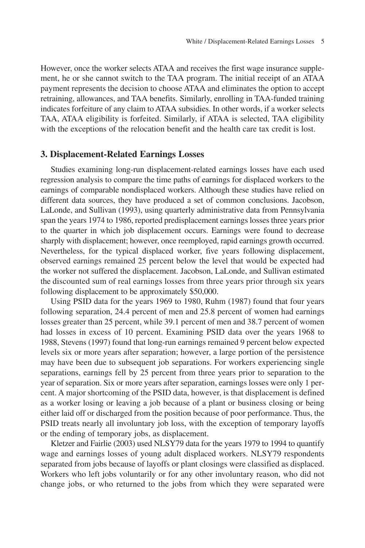However, once the worker selects ATAA and receives the first wage insurance supplement, he or she cannot switch to the TAA program. The initial receipt of an ATAA payment represents the decision to choose ATAA and eliminates the option to accept retraining, allowances, and TAA benefits. Similarly, enrolling in TAA-funded training indicates forfeiture of any claim to ATAA subsidies. In other words, if a worker selects TAA, ATAA eligibility is forfeited. Similarly, if ATAA is selected, TAA eligibility with the exceptions of the relocation benefit and the health care tax credit is lost.

### **3. Displacement-Related Earnings Losses**

Studies examining long-run displacement-related earnings losses have each used regression analysis to compare the time paths of earnings for displaced workers to the earnings of comparable nondisplaced workers. Although these studies have relied on different data sources, they have produced a set of common conclusions. Jacobson, LaLonde, and Sullivan (1993), using quarterly administrative data from Pennsylvania span the years 1974 to 1986, reported predisplacement earnings losses three years prior to the quarter in which job displacement occurs. Earnings were found to decrease sharply with displacement; however, once reemployed, rapid earnings growth occurred. Nevertheless, for the typical displaced worker, five years following displacement, observed earnings remained 25 percent below the level that would be expected had the worker not suffered the displacement. Jacobson, LaLonde, and Sullivan estimated the discounted sum of real earnings losses from three years prior through six years following displacement to be approximately \$50,000.

Using PSID data for the years 1969 to 1980, Ruhm (1987) found that four years following separation, 24.4 percent of men and 25.8 percent of women had earnings losses greater than 25 percent, while 39.1 percent of men and 38.7 percent of women had losses in excess of 10 percent. Examining PSID data over the years 1968 to 1988, Stevens (1997) found that long-run earnings remained 9 percent below expected levels six or more years after separation; however, a large portion of the persistence may have been due to subsequent job separations. For workers experiencing single separations, earnings fell by 25 percent from three years prior to separation to the year of separation. Six or more years after separation, earnings losses were only 1 percent. A major shortcoming of the PSID data, however, is that displacement is defined as a worker losing or leaving a job because of a plant or business closing or being either laid off or discharged from the position because of poor performance. Thus, the PSID treats nearly all involuntary job loss, with the exception of temporary layoffs or the ending of temporary jobs, as displacement.

Kletzer and Fairlie (2003) used NLSY79 data for the years 1979 to 1994 to quantify wage and earnings losses of young adult displaced workers. NLSY79 respondents separated from jobs because of layoffs or plant closings were classified as displaced. Workers who left jobs voluntarily or for any other involuntary reason, who did not change jobs, or who returned to the jobs from which they were separated were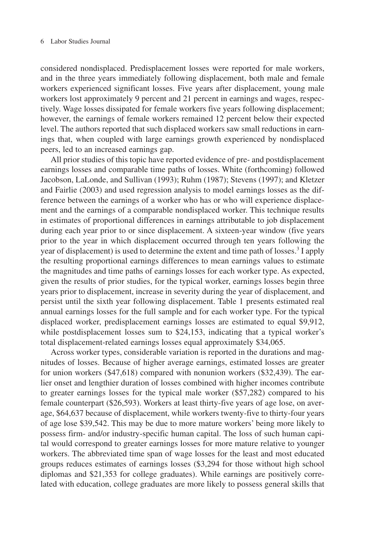considered nondisplaced. Predisplacement losses were reported for male workers, and in the three years immediately following displacement, both male and female workers experienced significant losses. Five years after displacement, young male workers lost approximately 9 percent and 21 percent in earnings and wages, respectively. Wage losses dissipated for female workers five years following displacement; however, the earnings of female workers remained 12 percent below their expected level. The authors reported that such displaced workers saw small reductions in earnings that, when coupled with large earnings growth experienced by nondisplaced peers, led to an increased earnings gap.

All prior studies of this topic have reported evidence of pre- and postdisplacement earnings losses and comparable time paths of losses. White (forthcoming) followed Jacobson, LaLonde, and Sullivan (1993); Ruhm (1987); Stevens (1997); and Kletzer and Fairlie (2003) and used regression analysis to model earnings losses as the difference between the earnings of a worker who has or who will experience displacement and the earnings of a comparable nondisplaced worker. This technique results in estimates of proportional differences in earnings attributable to job displacement during each year prior to or since displacement. A sixteen-year window (five years prior to the year in which displacement occurred through ten years following the year of displacement) is used to determine the extent and time path of losses.3 I apply the resulting proportional earnings differences to mean earnings values to estimate the magnitudes and time paths of earnings losses for each worker type. As expected, given the results of prior studies, for the typical worker, earnings losses begin three years prior to displacement, increase in severity during the year of displacement, and persist until the sixth year following displacement. Table 1 presents estimated real annual earnings losses for the full sample and for each worker type. For the typical displaced worker, predisplacement earnings losses are estimated to equal \$9,912, while postdisplacement losses sum to \$24,153, indicating that a typical worker's total displacement-related earnings losses equal approximately \$34,065.

Across worker types, considerable variation is reported in the durations and magnitudes of losses. Because of higher average earnings, estimated losses are greater for union workers (\$47,618) compared with nonunion workers (\$32,439). The earlier onset and lengthier duration of losses combined with higher incomes contribute to greater earnings losses for the typical male worker (\$57,282) compared to his female counterpart (\$26,593). Workers at least thirty-five years of age lose, on average, \$64,637 because of displacement, while workers twenty-five to thirty-four years of age lose \$39,542. This may be due to more mature workers' being more likely to possess firm- and/or industry-specific human capital. The loss of such human capital would correspond to greater earnings losses for more mature relative to younger workers. The abbreviated time span of wage losses for the least and most educated groups reduces estimates of earnings losses (\$3,294 for those without high school diplomas and \$21,353 for college graduates). While earnings are positively correlated with education, college graduates are more likely to possess general skills that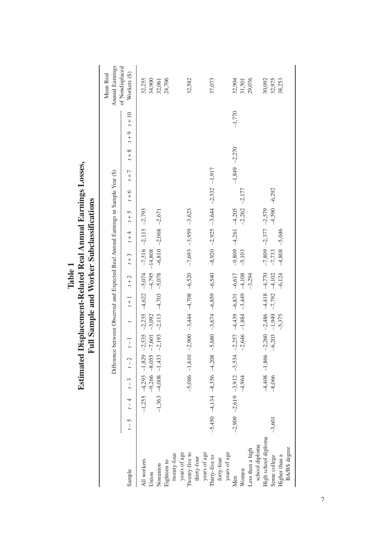|                                                                                        |          |          |          |                 |                                  |                                                                                            | Full Sample and Worker Subclassifications                                                                                                                                                                                                                    |                                                    |                 |          |                                                                         |  |          |                                 |
|----------------------------------------------------------------------------------------|----------|----------|----------|-----------------|----------------------------------|--------------------------------------------------------------------------------------------|--------------------------------------------------------------------------------------------------------------------------------------------------------------------------------------------------------------------------------------------------------------|----------------------------------------------------|-----------------|----------|-------------------------------------------------------------------------|--|----------|---------------------------------|
|                                                                                        |          |          |          |                 |                                  |                                                                                            | Difference between Observed and Expected Real Annual Earnings in Sample Year (\$)                                                                                                                                                                            |                                                    |                 |          |                                                                         |  |          | Annual Earnings<br>Mean Real    |
| Sample                                                                                 |          |          |          |                 |                                  |                                                                                            |                                                                                                                                                                                                                                                              |                                                    |                 |          | 1-5 (-4 1-3 1-2 1-1 1-2 1-4 1-4 1-4 1-4 1-4 1-5 1-5 1-5 1-6 1-8 1-5 1-5 |  |          | of Nondisplaced<br>Workers (\$) |
| All workers<br>Union                                                                   |          | $-1,255$ |          |                 | $-9,266 - 8,055 - 7,601 - 3,092$ | $-4,293$ $-1,829$ $-2,535$ $-2,235$ $-4,622$ $-5,074$                                      | $-4,795$                                                                                                                                                                                                                                                     | $-7,316$ $-2,113$ $-2,793$<br>$-14,808$            |                 |          |                                                                         |  |          | 32,255<br>34,900                |
| Nonunion                                                                               |          | $-1,363$ |          | $-4,008$ -1,433 | $-2,193$                         | $-2,113$ $-4,703$                                                                          | $-5,078$                                                                                                                                                                                                                                                     | $-6,810 -2,068 -2,671$                             |                 |          |                                                                         |  |          | 32,061                          |
| twenty-four<br>Eighteen to                                                             |          |          |          |                 |                                  |                                                                                            |                                                                                                                                                                                                                                                              |                                                    |                 |          |                                                                         |  |          | 24,706                          |
| Iwenty-five to<br>years of age<br>thirty-four                                          |          |          |          |                 |                                  |                                                                                            | $-5,086$ $-1,610$ $-2,900$ $-3,444$ $-4,708$ $-6,520$ $-7,693$ $-3,699$ $-3,623$                                                                                                                                                                             |                                                    |                 |          |                                                                         |  |          | 32,582                          |
| years of age<br>Thirty-five to                                                         |          |          |          |                 |                                  |                                                                                            | $-5.450 - 4.732 - 3325 - 3355 - 8.356 - 8.358 - 8.08$<br>$-6.8325 - 20.625 - 20.625 - 20.625 - 20.625 - 20.625 - 20.625 - 20.625 - 20.625 - 20.625 - 20.625 - 20.625 - 20.625 - 20.625 - 20.625 - 20.625 - 20.625 - 20.625 - 20.625 - 20.625 - 20.625 - 20.$ |                                                    |                 |          |                                                                         |  |          | 37,073                          |
| years of age<br>forty-four                                                             |          |          |          |                 |                                  |                                                                                            |                                                                                                                                                                                                                                                              |                                                    |                 |          |                                                                         |  |          |                                 |
| Less than a high<br>Women<br>Men                                                       |          |          | $-4,964$ |                 | $-2,646$                         | $-2,009$ $-2,619$ $-3,912$ $-3,534$ $-2,257$ $-4,439$ $-6,831$ $-6,617$<br>$-1,884 -3,449$ | $-4,108$<br>$-3,294$                                                                                                                                                                                                                                         | $-9,809$ $-4,261$ $-4,205$<br>$-5,103$             | $-2,262$        | $-2,177$ | $-1,849 -2,270$                                                         |  | $-1,770$ | 32,904<br>29,076<br>31,501      |
| High school diploma<br>school diploma<br>BA/BS degree<br>Higher than a<br>Some college | $-3,601$ |          | $-8,066$ |                 | $-6,203$                         | $-4,408$ $-1,866$ $-2,260$ $-2,486$ $-4,418$<br>$-1,949$ $-7,792$<br>$-5,375$              | $-4,770$<br>$-4,102$<br>$-6,124$                                                                                                                                                                                                                             | $-7,809$ $-2,377$ $-2,579$<br>$-5,046$<br>$-7,733$ | $-4,590 -6,292$ |          |                                                                         |  |          | 32,975<br>30,092<br>38,253      |

# Table 1<br>**Estimated Displacement-Related Real Annual Earnings Losses, Estimated Displacement-Related Real Annual Earnings Losses,**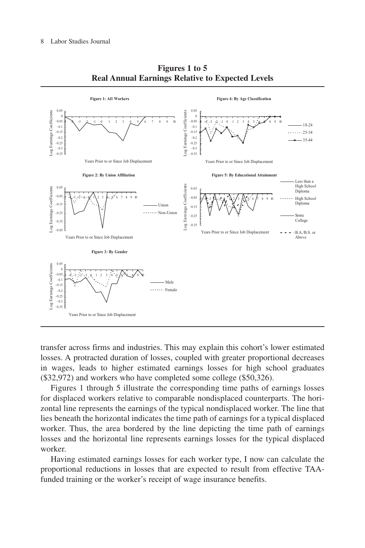

**Figures 1 to 5 Real Annual Earnings Relative to Expected Levels**

transfer across firms and industries. This may explain this cohort's lower estimated losses. A protracted duration of losses, coupled with greater proportional decreases in wages, leads to higher estimated earnings losses for high school graduates (\$32,972) and workers who have completed some college (\$50,326).

Figures 1 through 5 illustrate the corresponding time paths of earnings losses for displaced workers relative to comparable nondisplaced counterparts. The horizontal line represents the earnings of the typical nondisplaced worker. The line that lies beneath the horizontal indicates the time path of earnings for a typical displaced worker. Thus, the area bordered by the line depicting the time path of earnings losses and the horizontal line represents earnings losses for the typical displaced worker.

Having estimated earnings losses for each worker type, I now can calculate the proportional reductions in losses that are expected to result from effective TAAfunded training or the worker's receipt of wage insurance benefits.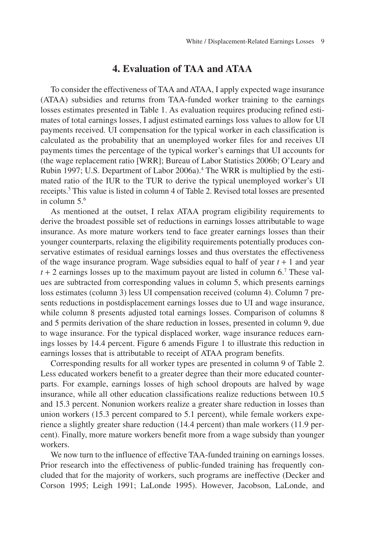### **4. Evaluation of TAA and ATAA**

To consider the effectiveness of TAA and ATAA, I apply expected wage insurance (ATAA) subsidies and returns from TAA-funded worker training to the earnings losses estimates presented in Table 1. As evaluation requires producing refined estimates of total earnings losses, I adjust estimated earnings loss values to allow for UI payments received. UI compensation for the typical worker in each classification is calculated as the probability that an unemployed worker files for and receives UI payments times the percentage of the typical worker's earnings that UI accounts for (the wage replacement ratio [WRR]; Bureau of Labor Statistics 2006b; O'Leary and Rubin 1997; U.S. Department of Labor 2006a).4 The WRR is multiplied by the estimated ratio of the IUR to the TUR to derive the typical unemployed worker's UI receipts.5 This value is listed in column 4 of Table 2. Revised total losses are presented in column 5.6

As mentioned at the outset, I relax ATAA program eligibility requirements to derive the broadest possible set of reductions in earnings losses attributable to wage insurance. As more mature workers tend to face greater earnings losses than their younger counterparts, relaxing the eligibility requirements potentially produces conservative estimates of residual earnings losses and thus overstates the effectiveness of the wage insurance program. Wage subsidies equal to half of year *t* + 1 and year  $t + 2$  earnings losses up to the maximum payout are listed in column 6.<sup>7</sup> These values are subtracted from corresponding values in column 5, which presents earnings loss estimates (column 3) less UI compensation received (column 4). Column 7 presents reductions in postdisplacement earnings losses due to UI and wage insurance, while column 8 presents adjusted total earnings losses. Comparison of columns 8 and 5 permits derivation of the share reduction in losses, presented in column 9, due to wage insurance. For the typical displaced worker, wage insurance reduces earnings losses by 14.4 percent. Figure 6 amends Figure 1 to illustrate this reduction in earnings losses that is attributable to receipt of ATAA program benefits.

Corresponding results for all worker types are presented in column 9 of Table 2. Less educated workers benefit to a greater degree than their more educated counterparts. For example, earnings losses of high school dropouts are halved by wage insurance, while all other education classifications realize reductions between 10.5 and 15.3 percent. Nonunion workers realize a greater share reduction in losses than union workers (15.3 percent compared to 5.1 percent), while female workers experience a slightly greater share reduction (14.4 percent) than male workers (11.9 percent). Finally, more mature workers benefit more from a wage subsidy than younger workers.

We now turn to the influence of effective TAA-funded training on earnings losses. Prior research into the effectiveness of public-funded training has frequently concluded that for the majority of workers, such programs are ineffective (Decker and Corson 1995; Leigh 1991; LaLonde 1995). However, Jacobson, LaLonde, and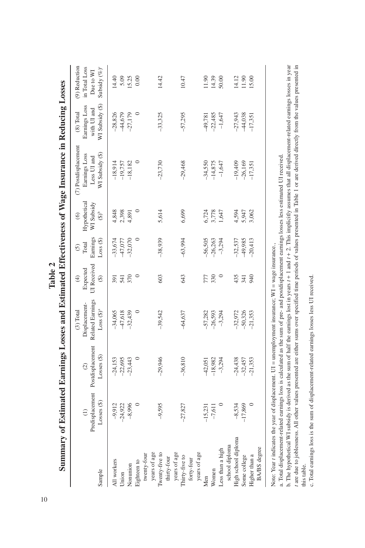|                     |                 |                                                   |                                                |                                        |                                    |                                       | Summary of Estimated Earnings Losses and Estimated Effectiveness of Wage Insurance in Reducing Losses |                                           |                                             |
|---------------------|-----------------|---------------------------------------------------|------------------------------------------------|----------------------------------------|------------------------------------|---------------------------------------|-------------------------------------------------------------------------------------------------------|-------------------------------------------|---------------------------------------------|
|                     | $\widehat{E}$   | Predisplacement Postdisplacement<br>$\widehat{c}$ | Related Earnings<br>Displacement-<br>(3) Total | UI Received<br>Expected<br>$\bigoplus$ | Earnings<br>Total<br>$\widehat{c}$ | Hypothetical<br>WI Subsidy<br>$\odot$ | (7) Postdisplacement<br>Earnings Loss<br>Less UI and                                                  | Earnings Loss<br>with UI and<br>(8) Total | (9) Reduction<br>in Total Loss<br>Due to WI |
| Sample              | $Losses$ $(\$)$ | $Losses$ $(\$)$                                   | $Loss (§)^a$                                   | $\hat{\mathcal{E}}$                    | Loss(                              | $\bigcirc^b$                          | WI Subsidy (\$)                                                                                       | WI Subsidy (\$)                           | Subsidy (%) <sup>c</sup>                    |
| All workers         | $-9,912$        | $-24,153$                                         | $-34,065$                                      | 591                                    | $-33,674$                          | ,848                                  | $-18,914$                                                                                             | $-28,826$                                 | 14.40                                       |
| Union               | $-24,922$       | $-22,695$                                         | 47,618                                         | 541                                    | 47,077                             | 2,398                                 | $-19,757$                                                                                             | 44,679                                    | 5.09                                        |
| Nonunion            | $-8,996$        | $-23,443$                                         | $-32,439$                                      | 370                                    | $-32,070$                          | 4,891                                 | $-18,182$                                                                                             | $-27,179$                                 | 15.25                                       |
| Eighteen to         |                 |                                                   | $\circ$                                        |                                        |                                    |                                       | $\circ$                                                                                               | ○                                         | 0.00                                        |
| twenty-four         |                 |                                                   |                                                |                                        |                                    |                                       |                                                                                                       |                                           |                                             |
| years of age        |                 |                                                   |                                                |                                        |                                    |                                       |                                                                                                       |                                           |                                             |
| Twenty-five to      | $-9,595$        | $-29,946$                                         | $-39,542$                                      | 603                                    | $-38,939$                          | 5,614                                 | $-23,730$                                                                                             | $-33,325$                                 | 14.42                                       |
| thirty-four         |                 |                                                   |                                                |                                        |                                    |                                       |                                                                                                       |                                           |                                             |
| years of age        |                 |                                                   |                                                |                                        |                                    |                                       |                                                                                                       |                                           |                                             |
| Thirty-five to      | $-27,827$       | $-36,810$                                         | $-64,637$                                      | 543                                    | $-63,994$                          | 6,699                                 | $-29,468$                                                                                             | $-57,295$                                 | 10.47                                       |
| forty-four          |                 |                                                   |                                                |                                        |                                    |                                       |                                                                                                       |                                           |                                             |
| years of age        |                 |                                                   |                                                |                                        |                                    |                                       |                                                                                                       |                                           |                                             |
| Men                 | $-15,231$       | 42,051                                            | -57,282                                        | 777                                    | -56,505                            | 6,724                                 | $-34,550$                                                                                             | 49,781                                    | 11.90                                       |
| Women               | $-7,611$        | $-18,982$                                         | $-26,593$                                      | 330                                    | $-26,263$                          | ,778                                  | $-14,875$                                                                                             | $-22,485$                                 | 14.39                                       |
| Less than a high    |                 | $-3,294$                                          | $-3,294$                                       |                                        | $-3,294$                           | ,647                                  | $-1,647$                                                                                              | $-1,647$                                  | 50.00                                       |
| school diploma      |                 |                                                   |                                                |                                        |                                    |                                       |                                                                                                       |                                           |                                             |
| High school diploma | $-8,534$        | $-24,438$                                         | $-32,972$                                      | 435                                    | $-32,537$                          | 594                                   | $-19,409$                                                                                             | $-27,943$                                 | 14.12                                       |
| Some college        | $-17,869$       | $-32,457$                                         | $-50,326$                                      | 341                                    | 49,985                             | 5,947                                 | $-26,169$                                                                                             | 44,038                                    | 11.90                                       |
| Higher than a       |                 | $-21,353$                                         | $-21,353$                                      | 940                                    | $-20,413$                          | 3,062                                 | $-17,351$                                                                                             | $-17,351$                                 | 15.00                                       |
| BA/BS degree        |                 |                                                   |                                                |                                        |                                    |                                       |                                                                                                       |                                           |                                             |
| 医子宫下的 医骨骨的 医骨骨      | $\ddot{\cdot}$  |                                                   |                                                |                                        |                                    |                                       |                                                                                                       |                                           |                                             |

Note: Year t indicates the year of displacement. UI = unemployment insurance;  $WI = wage$  insurance, Note: Year *t* indicates the year of displacement. UI = unemployment insurance; WI = wage insurance.,

a. Total displacement-related earnings loss is calculated as the sum of pre- and postdisplacement earnings losses less estimated UI received. a. Total displacement-related earnings loss is calculated as the sum of pre- and postdisplacement earnings losses less estimated UI received.

*t* are due to joblessness. All other values presented are either sums over specified time periods of values presented in Table 1 or are derived directly from the values presented in b. The hypothetical WI subsidy is derived as the sum of half the earnings lost in years  $i + 1$  and  $t + 2$ . This implicitly assumes that all displacement-related earnings losses in year b. The hypothetical WI subsidy is derived as the sum of half the earnings lost in years *t* + 1 and *t* + 2. This implicitly assumes that all displacement-related earnings losses in year are due to joblessness. All other values presented are either sums over specified time periods of values presented in Table 1 or are derived directly from the values presented in this table. this table.

c. Total earnings loss is the sum of displacement-related earnings losses less UI received. c. Total earnings loss is the sum of displacement-related earnings losses less UI received.

**Table 2**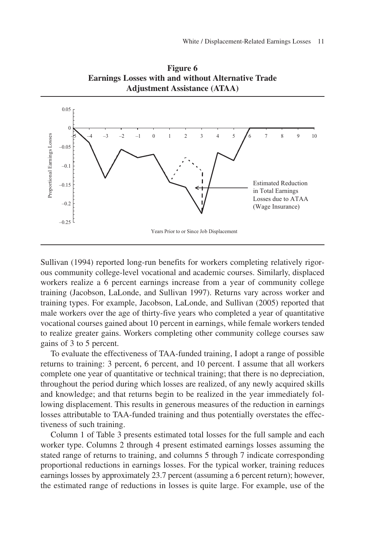

**Figure 6 Earnings Losses with and without Alternative Trade Adjustment Assistance (ATAA)**

Sullivan (1994) reported long-run benefits for workers completing relatively rigorous community college-level vocational and academic courses. Similarly, displaced workers realize a 6 percent earnings increase from a year of community college training (Jacobson, LaLonde, and Sullivan 1997). Returns vary across worker and training types. For example, Jacobson, LaLonde, and Sullivan (2005) reported that male workers over the age of thirty-five years who completed a year of quantitative vocational courses gained about 10 percent in earnings, while female workers tended to realize greater gains. Workers completing other community college courses saw gains of 3 to 5 percent.

To evaluate the effectiveness of TAA-funded training, I adopt a range of possible returns to training: 3 percent, 6 percent, and 10 percent. I assume that all workers complete one year of quantitative or technical training; that there is no depreciation, throughout the period during which losses are realized, of any newly acquired skills and knowledge; and that returns begin to be realized in the year immediately following displacement. This results in generous measures of the reduction in earnings losses attributable to TAA-funded training and thus potentially overstates the effectiveness of such training.

Column 1 of Table 3 presents estimated total losses for the full sample and each worker type. Columns 2 through 4 present estimated earnings losses assuming the stated range of returns to training, and columns 5 through 7 indicate corresponding proportional reductions in earnings losses. For the typical worker, training reduces earnings losses by approximately 23.7 percent (assuming a 6 percent return); however, the estimated range of reductions in losses is quite large. For example, use of the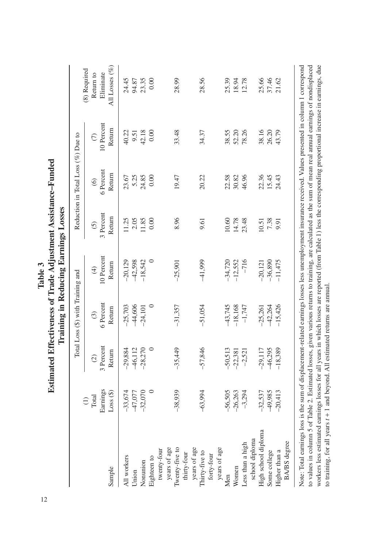| Î  |  |
|----|--|
| 12 |  |

All Losses (%) Sample Loss (\$) Return Return Return Return Return Return All Losses (%) (1) (8) Required (8) Required Return to Eliminate Total (2) (3) (4) (5) (6) (7) Return to Earnings 3 Percent 6 Percent 10 Percent 3 Percent 6 Percent 10 Percent Eliminate 24.45 23.35 28.99 28.56 25.39 12.78 25.66 37.46 21.62 94.87  $0.00$ 18.94 All workers –33,674 –29,884 –25,703 –20,129 11.25 23.67 40.22 24.45 Union – 27,077 – 28,077 – 28,0774 – 27,0774 – 27,0774 2.05,0774 9.09,0744 – 27,0774 – 27,0774 9.0774 9.077 Nonunion –32,270 –23,270 –24,270 –24,270 –24,270 –24,270 23.35 Eighteen to 0 0 0 0 0.00 0.00 0.00 0.00 Twenty-fire to –38,939 –38,993 –35,449 –35,449 –35,449 –35,449 –35,499 –35,499 –35,48 –31,47 –31,48 –31,48 –31 Sex –63,994 –57,846 –58,994 –58,994 –58,994 –58,994 9.564 –58,994 9.564 –57,846 9.57 28.52 32.57 28. Men –56,505 –50,513 –43,745 –34,720 10.60 22.58 38.55 25.39 Women –26,263 –22,381 –12,381 –12,552 –14,78 30.82 52.20 52.20 Less than a high  $-3.294$   $-1,747$   $-1,747$   $-1,748$   $-78.31$   $-78.26$   $-12.78$ High school diploma –32,537 –32,537 –29,117 –20,121 10.51 10.51 22.36 22.36 38.16 Some college –49,988,977 –49,988,974 –49,200 16,980,974 26,000 16,000 16,000 16,000 16,000 16,000 16,000 16,00 Higher than a –20,413 –10,389 –18,389 –18,426 –11,475 –12,527 –12,527 21.62 10 Percent Return 42.18 33.48 34.37 38.55 52.20 78.26 38.16 26.20 43.79 40.22 9.51  $0.00$ Reduction in Total Loss (%) Due to  $\widehat{C}$ Total Loss (\$) with Training and Reduction in Total Loss (%) Due to 6 Percent Return 23.67 5.25 24.85  $0.00$ 19.47 20.22 22.58 30.82 46.96 22.36 15.45 24.43  $\odot$ 3 Percent Return 11.85 14.78 11.25 2.05  $0.00$ 8.96 10.60 23.48 7.38 9.61  $10.51$ 9.91  $\overline{6}$ 10 Percent  $-12,552$  $-716$  $-11,475$  $-20,129$ 42,598  $-18,542$  $\circ$  $-41,999$  $-34,720$  $-20,121$  $-36,890$ Return  $-25,901$  $\widehat{\mathcal{F}}$ Total Loss (\$) with Training and 6 Percent  $-25,703$ 44,606 43,745  $-1,747$ 42,264  $-15,426$ Return  $-24,101$  $-31,357$  $-51,054$  $-18,168$  $-25,261$  $\widehat{c}$ 3 Percent  $-28,270$ 50,513 -29,117 46,295  $-18,389$ -29,884  $-35,449$  $-22,381$ Return 46,112  $-57,846$  $-2,521$  $\widehat{c}$ Earnings  $Loss($ \$)  $-33,674$ 47,077  $-38,939$  $-26,263$  $-3,294$  $-32,537$  $-20,413$  $-32,070$  $\circ$  $-63,994$  $-56,505$ 49,985 Total  $\ominus$ High school diploma school diploma school diploma **BA/BS** degree BA/BS degree Less than a high twenty-four twenty-four years of age Twenty-five to years of age years of age years of age years of age years of age Higher than a Some college thirty-four Thirty-five to forty-four All workers Eighteen to Nonunion Sample Women Union Men

Note: Total earnings loss is the sum of displacement-related earnings losses less unemployment insurance received. Values presented in column 1 correspond to values in column 5 of Table 2. Estimated losses, given various returns to training, are calculated as the sum of mean real annual earnings of nondisplaced workers less estimated earnings losses for all years in which losses are reported (from Table 1) less the corresponding proportional increase in earnings, due Note: Total earnings loss is the sum of displacement-related earnings losses less unemployment insurance received. Values presented in column 1 correspond to values in column 5 of Table 2. Estimated losses, given various returns to training, are calculated as the sum of mean real annual earnings of nondisplaced workers less estimated earnings losses for all years in which losses are reported (from Table 1) less the corresponding proportional increase in earnings, due to training, for all years  $t + 1$  and beyond. All estimated returns are annual. to training, for all years *t* + 1 and beyond. All estimated returns are annual.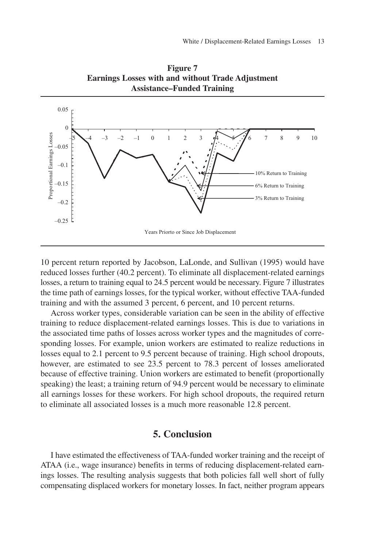

**Figure 7 Earnings Losses with and without Trade Adjustment Assistance–Funded Training**

10 percent return reported by Jacobson, LaLonde, and Sullivan (1995) would have reduced losses further (40.2 percent). To eliminate all displacement-related earnings losses, a return to training equal to 24.5 percent would be necessary. Figure 7 illustrates the time path of earnings losses, for the typical worker, without effective TAA-funded training and with the assumed 3 percent, 6 percent, and 10 percent returns.

Across worker types, considerable variation can be seen in the ability of effective training to reduce displacement-related earnings losses. This is due to variations in the associated time paths of losses across worker types and the magnitudes of corresponding losses. For example, union workers are estimated to realize reductions in losses equal to 2.1 percent to 9.5 percent because of training. High school dropouts, however, are estimated to see 23.5 percent to 78.3 percent of losses ameliorated because of effective training. Union workers are estimated to benefit (proportionally speaking) the least; a training return of 94.9 percent would be necessary to eliminate all earnings losses for these workers. For high school dropouts, the required return to eliminate all associated losses is a much more reasonable 12.8 percent.

### **5. Conclusion**

I have estimated the effectiveness of TAA-funded worker training and the receipt of ATAA (i.e., wage insurance) benefits in terms of reducing displacement-related earnings losses. The resulting analysis suggests that both policies fall well short of fully compensating displaced workers for monetary losses. In fact, neither program appears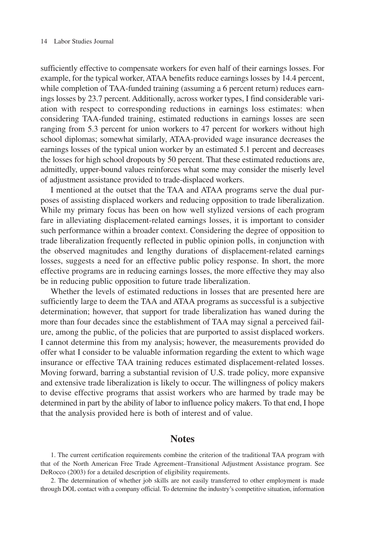sufficiently effective to compensate workers for even half of their earnings losses. For example, for the typical worker, ATAA benefits reduce earnings losses by 14.4 percent, while completion of TAA-funded training (assuming a 6 percent return) reduces earnings losses by 23.7 percent. Additionally, across worker types, I find considerable variation with respect to corresponding reductions in earnings loss estimates: when considering TAA-funded training, estimated reductions in earnings losses are seen ranging from 5.3 percent for union workers to 47 percent for workers without high school diplomas; somewhat similarly, ATAA-provided wage insurance decreases the earnings losses of the typical union worker by an estimated 5.1 percent and decreases the losses for high school dropouts by 50 percent. That these estimated reductions are, admittedly, upper-bound values reinforces what some may consider the miserly level of adjustment assistance provided to trade-displaced workers.

I mentioned at the outset that the TAA and ATAA programs serve the dual purposes of assisting displaced workers and reducing opposition to trade liberalization. While my primary focus has been on how well stylized versions of each program fare in alleviating displacement-related earnings losses, it is important to consider such performance within a broader context. Considering the degree of opposition to trade liberalization frequently reflected in public opinion polls, in conjunction with the observed magnitudes and lengthy durations of displacement-related earnings losses, suggests a need for an effective public policy response. In short, the more effective programs are in reducing earnings losses, the more effective they may also be in reducing public opposition to future trade liberalization.

Whether the levels of estimated reductions in losses that are presented here are sufficiently large to deem the TAA and ATAA programs as successful is a subjective determination; however, that support for trade liberalization has waned during the more than four decades since the establishment of TAA may signal a perceived failure, among the public, of the policies that are purported to assist displaced workers. I cannot determine this from my analysis; however, the measurements provided do offer what I consider to be valuable information regarding the extent to which wage insurance or effective TAA training reduces estimated displacement-related losses. Moving forward, barring a substantial revision of U.S. trade policy, more expansive and extensive trade liberalization is likely to occur. The willingness of policy makers to devise effective programs that assist workers who are harmed by trade may be determined in part by the ability of labor to influence policy makers. To that end, I hope that the analysis provided here is both of interest and of value.

### **Notes**

1. The current certification requirements combine the criterion of the traditional TAA program with that of the North American Free Trade Agreement–Transitional Adjustment Assistance program. See DeRocco (2003) for a detailed description of eligibility requirements.

2. The determination of whether job skills are not easily transferred to other employment is made through DOL contact with a company official. To determine the industry's competitive situation, information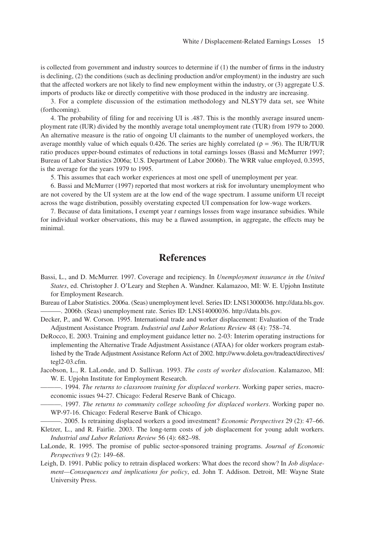is collected from government and industry sources to determine if (1) the number of firms in the industry is declining, (2) the conditions (such as declining production and/or employment) in the industry are such that the affected workers are not likely to find new employment within the industry, or (3) aggregate U.S. imports of products like or directly competitive with those produced in the industry are increasing.

3. For a complete discussion of the estimation methodology and NLSY79 data set, see White (forthcoming).

4. The probability of filing for and receiving UI is .487. This is the monthly average insured unemployment rate (IUR) divided by the monthly average total unemployment rate (TUR) from 1979 to 2000. An alternative measure is the ratio of ongoing UI claimants to the number of unemployed workers, the average monthly value of which equals 0.426. The series are highly correlated ( $\rho = .96$ ). The IUR/TUR ratio produces upper-bound estimates of reductions in total earnings losses (Bassi and McMurrer 1997; Bureau of Labor Statistics 2006a; U.S. Department of Labor 2006b). The WRR value employed, 0.3595, is the average for the years 1979 to 1995.

5. This assumes that each worker experiences at most one spell of unemployment per year.

6. Bassi and McMurrer (1997) reported that most workers at risk for involuntary unemployment who are not covered by the UI system are at the low end of the wage spectrum. I assume uniform UI receipt across the wage distribution, possibly overstating expected UI compensation for low-wage workers.

7. Because of data limitations, I exempt year *t* earnings losses from wage insurance subsidies. While for individual worker observations, this may be a flawed assumption, in aggregate, the effects may be minimal.

### **References**

Bassi, L., and D. McMurrer. 1997. Coverage and recipiency. In *Unemployment insurance in the United States*, ed. Christopher J. O'Leary and Stephen A. Wandner. Kalamazoo, MI: W. E. Upjohn Institute for Employment Research.

Bureau of Labor Statistics. 2006a. (Seas) unemployment level. Series ID: LNS13000036. http://data.bls.gov. ———. 2006b. (Seas) unemployment rate. Series ID: LNS14000036. http://data.bls.gov.

Decker, P., and W. Corson. 1995. International trade and worker displacement: Evaluation of the Trade Adjustment Assistance Program. *Industrial and Labor Relations Review* 48 (4): 758–74.

DeRocco, E. 2003. Training and employment guidance letter no. 2-03: Interim operating instructions for implementing the Alternative Trade Adjustment Assistance (ATAA) for older workers program established by the Trade Adjustment Assistance Reform Act of 2002. http://www.doleta.gov/tradeact/directives/ tegl2-03.cfm.

Jacobson, L., R. LaLonde, and D. Sullivan. 1993. *The costs of worker dislocation*. Kalamazoo, MI: W. E. Upjohn Institute for Employment Research.

———. 1994. *The returns to classroom training for displaced workers*. Working paper series, macroeconomic issues 94-27. Chicago: Federal Reserve Bank of Chicago.

———. 1997. *The returns to community college schooling for displaced workers*. Working paper no. WP-97-16. Chicago: Federal Reserve Bank of Chicago.

———. 2005. Is retraining displaced workers a good investment? *Economic Perspectives* 29 (2): 47–66.

Kletzer, L., and R. Fairlie. 2003. The long-term costs of job displacement for young adult workers. *Industrial and Labor Relations Review* 56 (4): 682–98.

LaLonde, R. 1995. The promise of public sector-sponsored training programs. *Journal of Economic Perspectives* 9 (2): 149–68.

Leigh, D. 1991. Public policy to retrain displaced workers: What does the record show? In *Job displacement—Consequences and implications for policy*, ed. John T. Addison. Detroit, MI: Wayne State University Press.